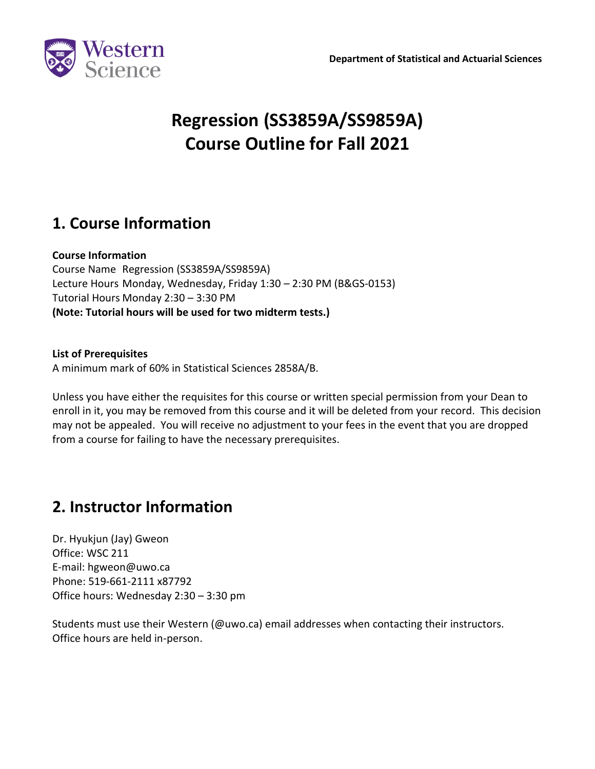

# **Regression (SS3859A/SS9859A) Course Outline for Fall 2021**

# **1. Course Information**

#### **Course Information**

Course Name Regression (SS3859A/SS9859A) Lecture Hours Monday, Wednesday, Friday 1:30 – 2:30 PM (B&GS-0153) Tutorial Hours Monday 2:30 – 3:30 PM **(Note: Tutorial hours will be used for two midterm tests.)**

#### **List of Prerequisites**

A minimum mark of 60% in Statistical Sciences 2858A/B.

Unless you have either the requisites for this course or written special permission from your Dean to enroll in it, you may be removed from this course and it will be deleted from your record. This decision may not be appealed. You will receive no adjustment to your fees in the event that you are dropped from a course for failing to have the necessary prerequisites.

### **2. Instructor Information**

Dr. Hyukjun (Jay) Gweon Office: WSC 211 E-mail: [hgweon@uwo.ca](mailto:hgweon@uwo.ca) Phone: 519-661-2111 x87792 Office hours: Wednesday 2:30 – 3:30 pm

Students must use their Western (@uwo.ca) email addresses when contacting their instructors. Office hours are held in-person.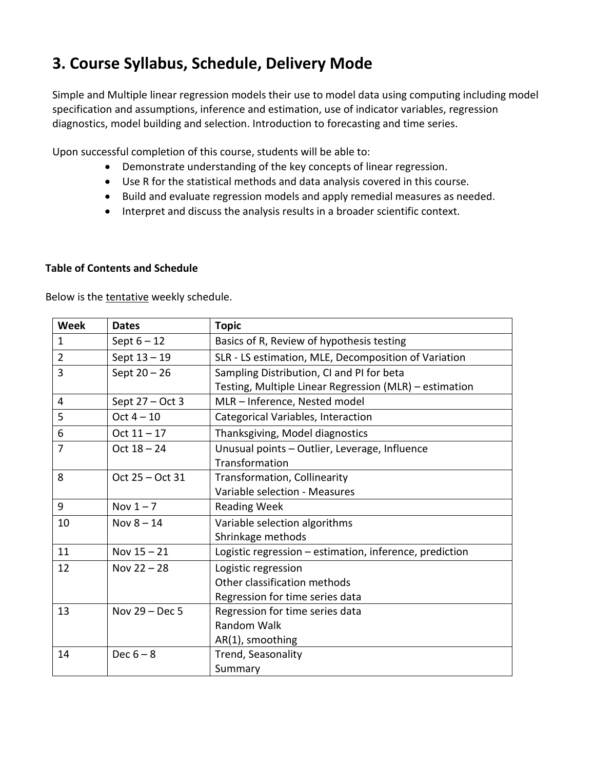# **3. Course Syllabus, Schedule, Delivery Mode**

Simple and Multiple linear regression models their use to model data using computing including model specification and assumptions, inference and estimation, use of indicator variables, regression diagnostics, model building and selection. Introduction to forecasting and time series.

Upon successful completion of this course, students will be able to:

- Demonstrate understanding of the key concepts of linear regression.
- Use R for the statistical methods and data analysis covered in this course.
- Build and evaluate regression models and apply remedial measures as needed.
- Interpret and discuss the analysis results in a broader scientific context.

#### **Table of Contents and Schedule**

Below is the tentative weekly schedule.

| <b>Week</b>    | <b>Dates</b>     | <b>Topic</b>                                            |
|----------------|------------------|---------------------------------------------------------|
| $\mathbf{1}$   | Sept $6 - 12$    | Basics of R, Review of hypothesis testing               |
| $\overline{2}$ | Sept $13 - 19$   | SLR - LS estimation, MLE, Decomposition of Variation    |
| 3              | Sept $20 - 26$   | Sampling Distribution, CI and PI for beta               |
|                |                  | Testing, Multiple Linear Regression (MLR) - estimation  |
| 4              | Sept 27 - Oct 3  | MLR - Inference, Nested model                           |
| 5              | $Oct 4 - 10$     | Categorical Variables, Interaction                      |
| 6              | $Oct 11 - 17$    | Thanksgiving, Model diagnostics                         |
| $\overline{7}$ | $Oct 18 - 24$    | Unusual points - Outlier, Leverage, Influence           |
|                |                  | Transformation                                          |
| 8              | Oct 25 - Oct 31  | Transformation, Collinearity                            |
|                |                  | Variable selection - Measures                           |
| 9              | Nov $1-7$        | <b>Reading Week</b>                                     |
| 10             | Nov $8 - 14$     | Variable selection algorithms                           |
|                |                  | Shrinkage methods                                       |
| 11             | Nov $15 - 21$    | Logistic regression - estimation, inference, prediction |
| 12             | Nov $22 - 28$    | Logistic regression                                     |
|                |                  | Other classification methods                            |
|                |                  | Regression for time series data                         |
| 13             | Nov $29 - Dec 5$ | Regression for time series data                         |
|                |                  | <b>Random Walk</b>                                      |
|                |                  | AR(1), smoothing                                        |
| 14             | Dec $6-8$        | Trend, Seasonality                                      |
|                |                  | Summary                                                 |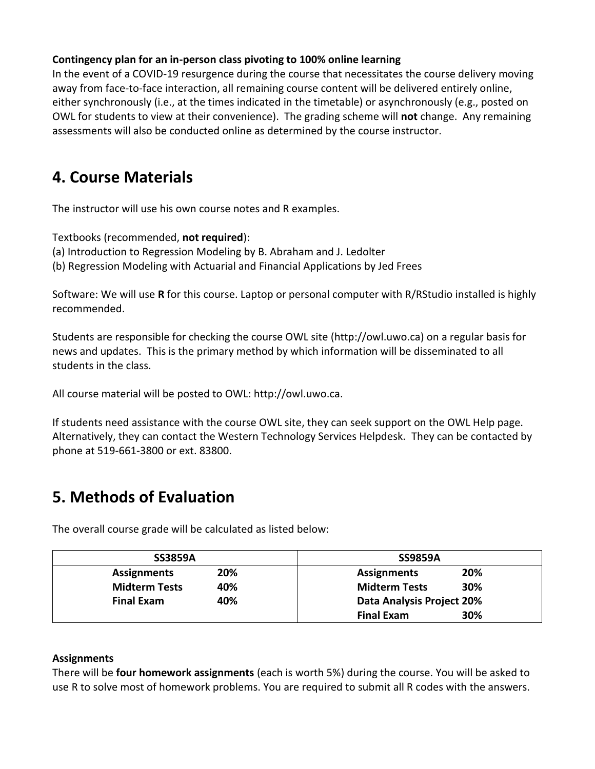#### **Contingency plan for an in-person class pivoting to 100% online learning**

In the event of a COVID-19 resurgence during the course that necessitates the course delivery moving away from face-to-face interaction, all remaining course content will be delivered entirely online, either synchronously (i.e., at the times indicated in the timetable) or asynchronously (e.g., posted on OWL for students to view at their convenience). The grading scheme will **not** change. Any remaining assessments will also be conducted online as determined by the course instructor.

### **4. Course Materials**

The instructor will use his own course notes and R examples.

Textbooks (recommended, **not required**):

- (a) Introduction to Regression Modeling by B. Abraham and J. Ledolter
- (b) Regression Modeling with Actuarial and Financial Applications by Jed Frees

Software: We will use **R** for this course. Laptop or personal computer with R/RStudio installed is highly recommended.

Students are responsible for checking the course OWL site (http://owl.uwo.ca) on a regular basis for news and updates. This is the primary method by which information will be disseminated to all students in the class.

All course material will be posted to OWL: http://owl.uwo.ca.

If students need assistance with the course OWL site, they can seek support on the OWL Help page. Alternatively, they can contact the Western Technology Services Helpdesk. They can be contacted by phone at 519-661-3800 or ext. 83800.

# **5. Methods of Evaluation**

The overall course grade will be calculated as listed below:

| <b>SS3859A</b>              | <b>SS9859A</b>              |
|-----------------------------|-----------------------------|
| 20%<br><b>Assignments</b>   | 20%<br><b>Assignments</b>   |
| <b>Midterm Tests</b><br>40% | <b>Midterm Tests</b><br>30% |
| 40%<br><b>Final Exam</b>    | Data Analysis Project 20%   |
|                             | 30%<br><b>Final Exam</b>    |

#### **Assignments**

There will be **four homework assignments** (each is worth 5%) during the course. You will be asked to use R to solve most of homework problems. You are required to submit all R codes with the answers.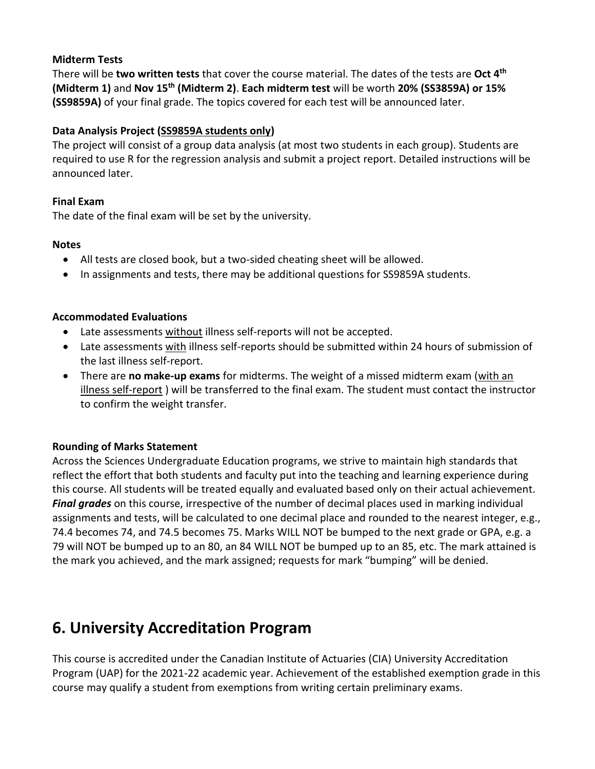#### **Midterm Tests**

There will be **two written tests** that cover the course material. The dates of the tests are **Oct 4 th (Midterm 1)** and **Nov 15 th (Midterm 2)**. **Each midterm test** will be worth **20% (SS3859A) or 15% (SS9859A)** of your final grade. The topics covered for each test will be announced later.

#### **Data Analysis Project (SS9859A students only)**

The project will consist of a group data analysis (at most two students in each group). Students are required to use R for the regression analysis and submit a project report. Detailed instructions will be announced later.

#### **Final Exam**

The date of the final exam will be set by the university.

#### **Notes**

- All tests are closed book, but a two-sided cheating sheet will be allowed.
- In assignments and tests, there may be additional questions for SS9859A students.

#### **Accommodated Evaluations**

- Late assessments without illness self-reports will not be accepted.
- Late assessments with illness self-reports should be submitted within 24 hours of submission of the last illness self-report.
- There are **no make-up exams** for midterms. The weight of a missed midterm exam (with an illness self-report ) will be transferred to the final exam. The student must contact the instructor to confirm the weight transfer.

#### **Rounding of Marks Statement**

Across the Sciences Undergraduate Education programs, we strive to maintain high standards that reflect the effort that both students and faculty put into the teaching and learning experience during this course. All students will be treated equally and evaluated based only on their actual achievement. *Final grades* on this course, irrespective of the number of decimal places used in marking individual assignments and tests, will be calculated to one decimal place and rounded to the nearest integer, e.g., 74.4 becomes 74, and 74.5 becomes 75. Marks WILL NOT be bumped to the next grade or GPA, e.g. a 79 will NOT be bumped up to an 80, an 84 WILL NOT be bumped up to an 85, etc. The mark attained is the mark you achieved, and the mark assigned; requests for mark "bumping" will be denied.

### **6. University Accreditation Program**

This course is accredited under the Canadian Institute of Actuaries (CIA) University Accreditation Program (UAP) for the 2021-22 academic year. Achievement of the established exemption grade in this course may qualify a student from exemptions from writing certain preliminary exams.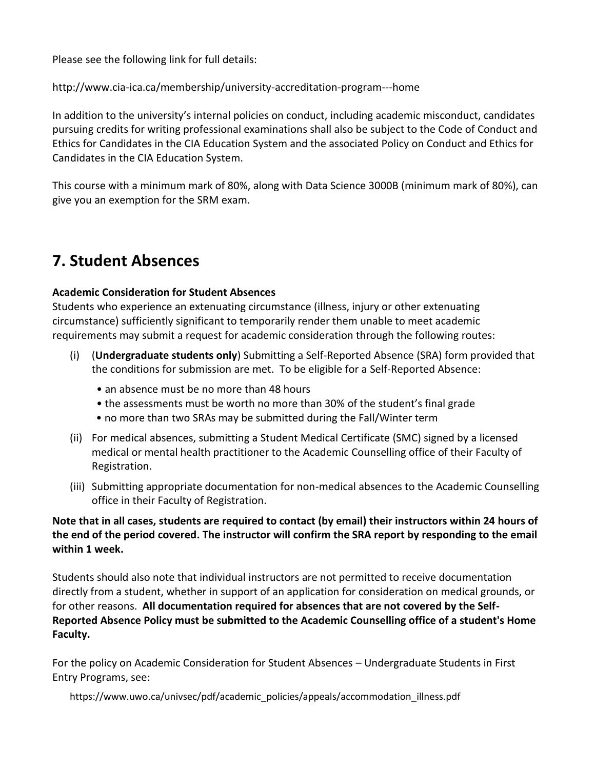Please see the following link for full details:

http://www.cia-ica.ca/membership/university-accreditation-program---home

In addition to the university's internal policies on conduct, including academic misconduct, candidates pursuing credits for writing professional examinations shall also be subject to the Code of Conduct and Ethics for Candidates in the CIA Education System and the associated Policy on Conduct and Ethics for Candidates in the CIA Education System.

This course with a minimum mark of 80%, along with Data Science 3000B (minimum mark of 80%), can give you an exemption for the SRM exam.

### **7. Student Absences**

#### **Academic Consideration for Student Absences**

Students who experience an extenuating circumstance (illness, injury or other extenuating circumstance) sufficiently significant to temporarily render them unable to meet academic requirements may submit a request for academic consideration through the following routes:

- (i) (**Undergraduate students only**) Submitting a Self-Reported Absence (SRA) form provided that the conditions for submission are met. To be eligible for a Self-Reported Absence:
	- an absence must be no more than 48 hours
	- the assessments must be worth no more than 30% of the student's final grade
	- no more than two SRAs may be submitted during the Fall/Winter term
- (ii) For medical absences, submitting a Student Medical Certificate (SMC) signed by a licensed medical or mental health practitioner to the Academic Counselling office of their Faculty of Registration.
- (iii) Submitting appropriate documentation for non-medical absences to the Academic Counselling office in their Faculty of Registration.

**Note that in all cases, students are required to contact (by email) their instructors within 24 hours of the end of the period covered. The instructor will confirm the SRA report by responding to the email within 1 week.**

Students should also note that individual instructors are not permitted to receive documentation directly from a student, whether in support of an application for consideration on medical grounds, or for other reasons. **All documentation required for absences that are not covered by the Self-Reported Absence Policy must be submitted to the Academic Counselling office of a student's Home Faculty.**

For the policy on Academic Consideration for Student Absences – Undergraduate Students in First Entry Programs, see:

https://www.uwo.ca/univsec/pdf/academic\_policies/appeals/accommodation\_illness.pdf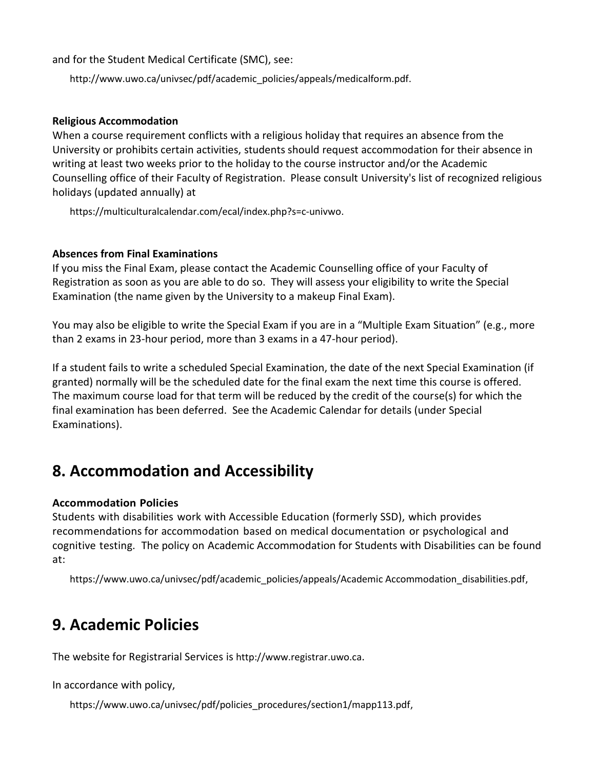and for the Student Medical Certificate (SMC), see:

http://www.uwo.ca/univsec/pdf/academic\_policies/appeals/medicalform.pdf.

#### **Religious Accommodation**

When a course requirement conflicts with a religious holiday that requires an absence from the University or prohibits certain activities, students should request accommodation for their absence in writing at least two weeks prior to the holiday to the course instructor and/or the Academic Counselling office of their Faculty of Registration. Please consult University's list of recognized religious holidays (updated annually) at

https://multiculturalcalendar.com/ecal/index.php?s=c-univwo.

#### **Absences from Final Examinations**

If you miss the Final Exam, please contact the Academic Counselling office of your Faculty of Registration as soon as you are able to do so. They will assess your eligibility to write the Special Examination (the name given by the University to a makeup Final Exam).

You may also be eligible to write the Special Exam if you are in a "Multiple Exam Situation" (e.g., more than 2 exams in 23-hour period, more than 3 exams in a 47-hour period).

If a student fails to write a scheduled Special Examination, the date of the next Special Examination (if granted) normally will be the scheduled date for the final exam the next time this course is offered. The maximum course load for that term will be reduced by the credit of the course(s) for which the final examination has been deferred. See the Academic Calendar for details (under Special Examinations).

### **8. Accommodation and Accessibility**

#### **Accommodation Policies**

Students with disabilities work with Accessible Education (formerly SSD), which provides recommendations for accommodation based on medical documentation or psychological and cognitive testing. The policy on Academic Accommodation for Students with Disabilities can be found at:

https://www.uwo.ca/univsec/pdf/academic\_policies/appeals/Academic Accommodation\_disabilities.pdf,

### **9. Academic Policies**

The website for Registrarial Services is http://www.registrar.uwo.ca.

In accordance with policy,

https://www.uwo.ca/univsec/pdf/policies\_procedures/section1/mapp113.pdf,